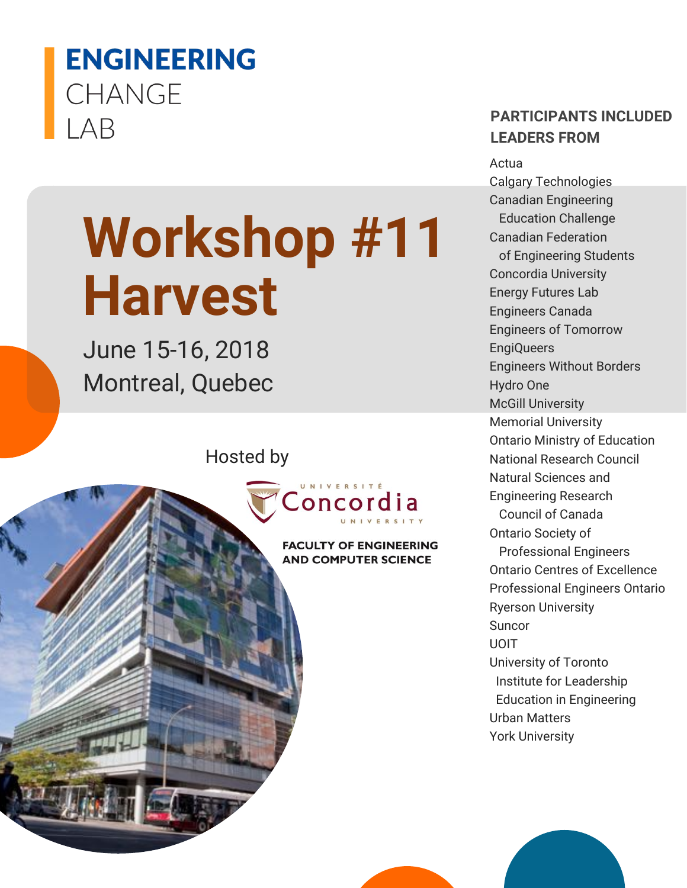### **ENGINEERING** CHANGE LAB

# **Workshop #11 Harvest**

June 15-16, 2018 Montreal, Quebec

Hosted by



**FACULTY OF ENGINEERING AND COMPUTER SCIENCE** 

#### **PARTICIPANTS INCLUDED LEADERS FROM**

Actua Calgary Technologies Canadian Engineering Education Challenge Canadian Federation of Engineering Students Concordia University Energy Futures Lab Engineers Canada Engineers of Tomorrow EngiQueers Engineers Without Borders Hydro One McGill University Memorial University Ontario Ministry of Education National Research Council Natural Sciences and Engineering Research Council of Canada Ontario Society of Professional Engineers Ontario Centres of Excellence Professional Engineers Ontario Ryerson University Suncor UOIT University of Toronto Institute for Leadership Education in Engineering Urban Matters

York University

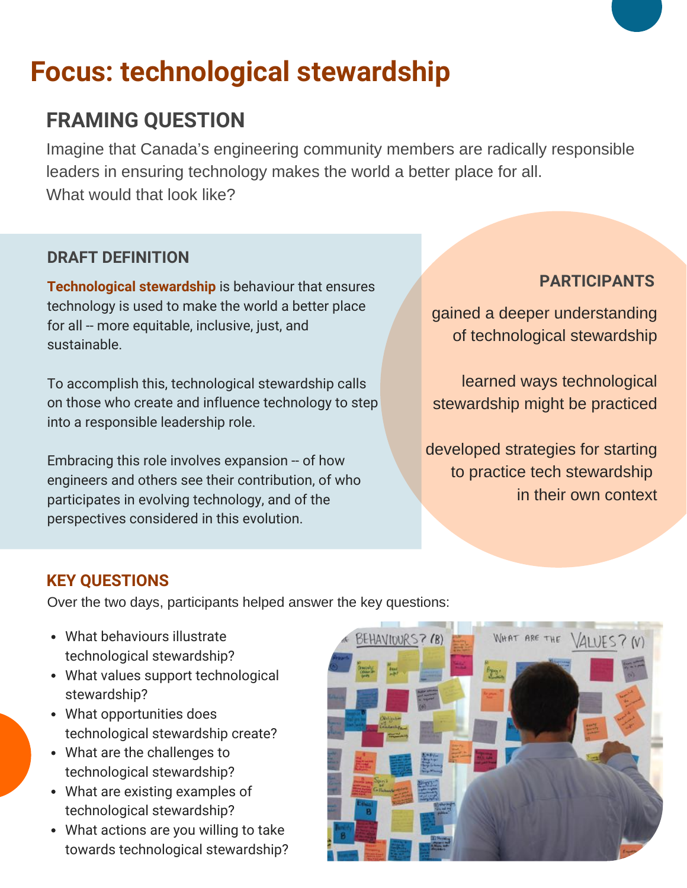### **Focus: technological stewardship**

### **FRAMING QUESTION**

Imagine that Canada's engineering community members are radically responsible leaders in ensuring technology makes the world a better place for all. What would that look like?

#### **DRAFT DEFINITION**

**PARTICIPANTS** technology is used to make the world a better place for all -- more equitable, inclusive, just, and sustainable.

To accomplish this, technological stewardship calls on those who create and influence technology to step into a responsible leadership role.

Embracing this role involves expansion -- of how engineers and others see their contribution, of who participates in evolving technology, and of the perspectives considered in this evolution.

gained a deeper understanding of technological stewardship

learned ways technological stewardship might be practiced

developed strategies for starting to practice tech stewardship in their own context

#### **KEY QUESTIONS**

Over the two days, participants helped answer the key questions:

- What behaviours illustrate technological stewardship?
- What values support technological stewardship?
- What opportunities does technological stewardship create?
- What are the challenges to technological stewardship?
- What are existing examples of technological stewardship?
- What actions are you willing to take towards technological stewardship?

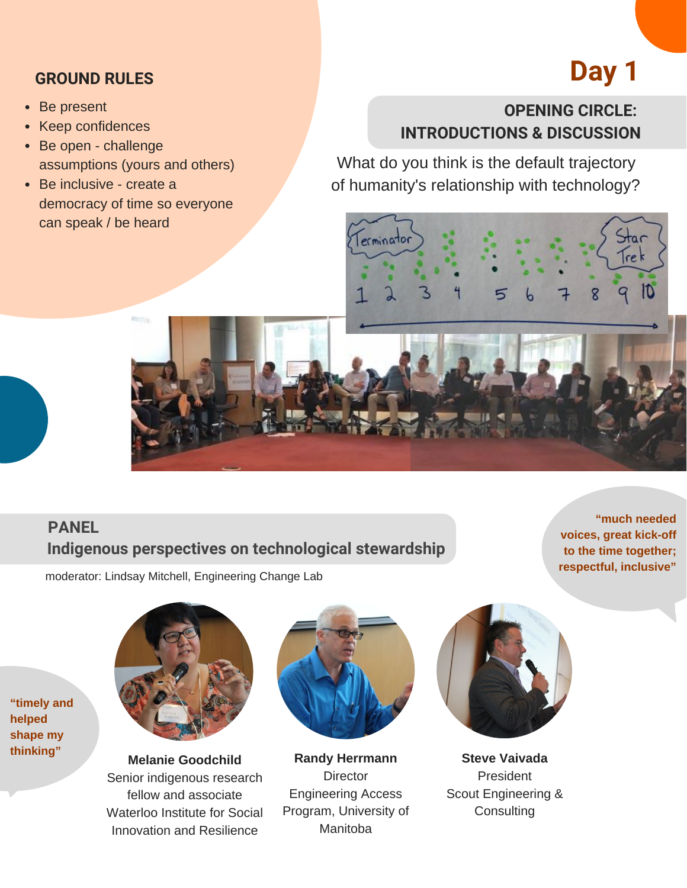#### **GROUND RULES**

- Be present
- Keep confidences
- Be open challenge assumptions (yours and others)
- Be inclusive create a democracy of time so everyone can speak / be heard

### **Day 1**

Star

#### **OPENING CIRCLE: INTRODUCTIONS & DISCUSSION**

What do you think is the default trajectory of humanity's relationship with technology?

erminato



moderator: Lindsay Mitchell, Engineering Change Lab

**"much needed voices, great kick-off to the time together; respectful, inclusive"**



**"timely and helped shape my thinking"**

**Melanie [Goodchild](https://uwaterloo.ca/waterloo-institute-for-social-innovation-and-resilience/people-profiles/melanie-goodchild)** Senior indigenous research fellow and associate Waterloo Institute for Social Innovation and Resilience



**Randy Herrmann Director** [Engineering](http://umanitoba.ca/faculties/engineering/departments/depts_engap.html) Access Program, University of Manitoba



**Steve Vaivada** President Scout [Engineering](https://scoutengg.com/about) & **Consulting**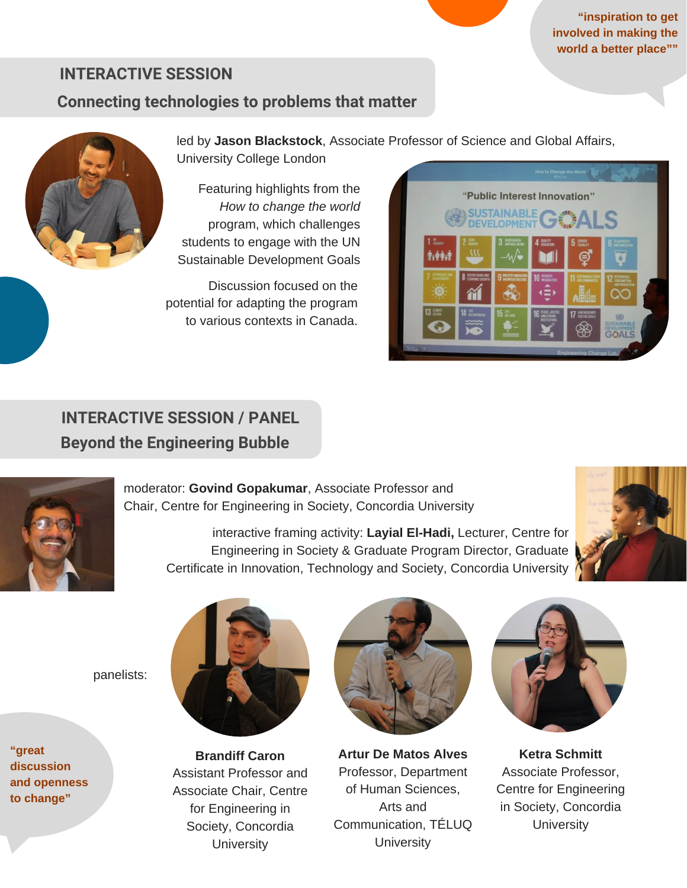**"inspiration to get involved in making the world a better place""**

#### **INTERACTIVE SESSION**

#### **Connecting technologies to problems that matter**



led by **Jason [Blackstock](http://www.ucl.ac.uk/steapp/people/blackstock)**, Associate Professor of Science and Global Affairs, University College London

Featuring highlights from the *How to change the world* program, which challenges students to engage with the UN Sustainable [Development](http://www.ucl.ac.uk/steapp/how-to-change-the-world) Goals

Discussion focused on the potential for adapting the program to various contexts in Canada.



### **INTERACTIVE SESSION / PANEL Beyond the Engineering Bubble**



moderator: **Govind [Gopakumar](https://www.concordia.ca/faculty/govind-gopakumar.html)**, Associate Professor and Chair, Centre for Engineering in Society, Concordia University

> interactive framing activity: **Layial El-Hadi,** Lecturer, Centre for [Engineering](http://explore.concordia.ca/layial-el-hadi) in Society & Graduate Program Director, Graduate Certificate in Innovation, Technology and Society, Concordia University



panelists:

**"great discussion and openness to change"**



**Brandiff Caron** Assistant Professor and Associate Chair, Centre for [Engineering](https://uwaterloo.ca/waterloo-institute-for-social-innovation-and-resilience/people-profiles/melanie-goodchild) in Society, Concordia **University** 



**Artur De Matos Alves** Professor, Department of Human Sciences, Arts and [Communication,](http://umanitoba.ca/faculties/engineering/departments/depts_engap.html) TÉLUQ **University** 



**Ketra Schmitt** Associate Professor, Centre for [Engineering](https://scoutengg.com/about) in Society, Concordia **University**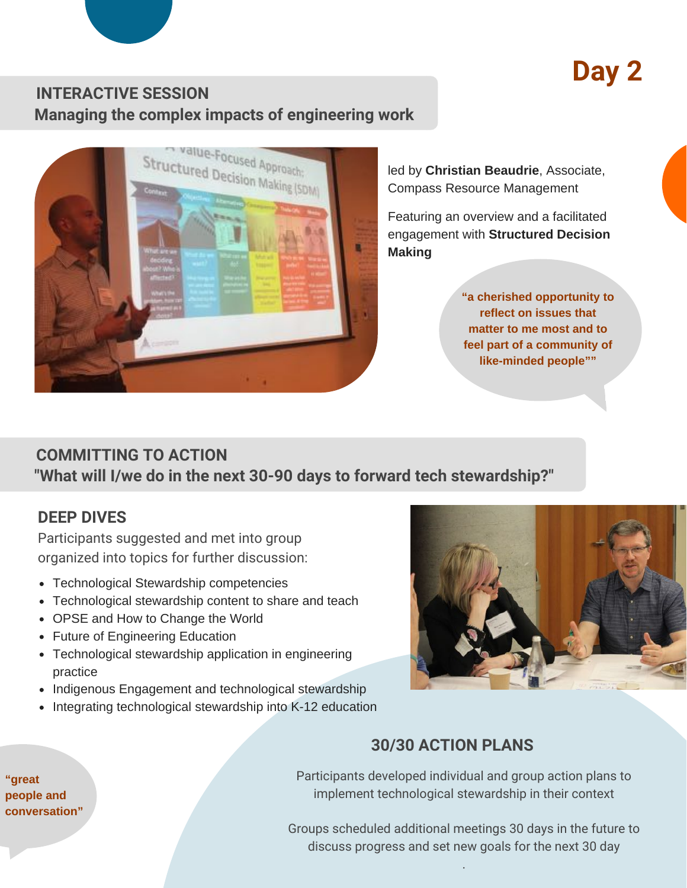## **Day 2**

#### **INTERACTIVE SESSION Managing the complex impacts of engineering work**



led by **Christian Beaudrie**, Associate, Compass Resource [Management](http://compassrm.com/who-we-are/christian-beaudrie/)

Featuring an overview and a facilitated [engagement](http://www.structureddecisionmaking.org/) with **Structured Decision Making**

> **"a cherished opportunity to reflect on issues that matter to me most and to feel part of a community of like-minded people""**

#### **COMMITTING TO ACTION "What will I/we do in the next 30-90 days to forward tech stewardship?"**

#### **DEEP DIVES**

Participants suggested and met into group organized into topics for further discussion:

- Technological Stewardship competencies
- Technological stewardship content to share and teach
- OPSE and How to Change the World
- Future of Engineering Education
- Technological stewardship application in engineering practice
- Indigenous Engagement and technological stewardship
- Integrating technological stewardship into K-12 education



### **30/30 ACTION PLANS**

Participants developed individual and group action plans to implement technological stewardship in their context

Groups scheduled additional meetings 30 days in the future to discuss progress and set new goals for the next 30 day

.

**"great people and conversation"**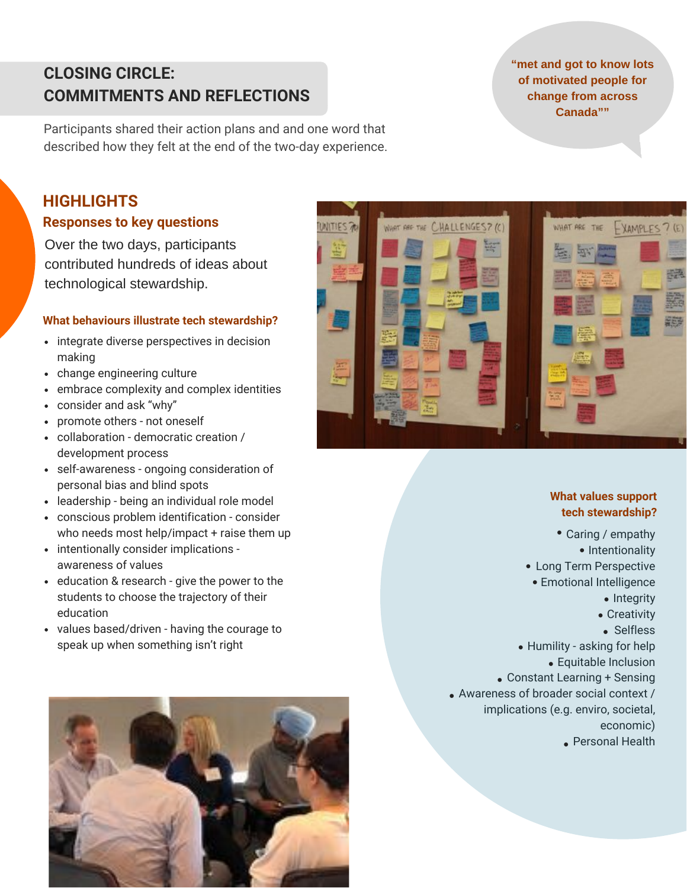#### **CLOSING CIRCLE: COMMITMENTS AND REFLECTIONS**

**"met and got to know lots of motivated people for change from across Canada""**

Participants shared their action plans and and one word that described how they felt at the end of the two-day experience.

#### **Responses to key questions HIGHLIGHTS**

Over the two days, participants contributed hundreds of ideas about technological stewardship.

#### **What behaviours illustrate tech stewardship?**

- integrate diverse perspectives in decision making
- change engineering culture
- embrace complexity and complex identities
- consider and ask "why"
- promote others not oneself
- collaboration democratic creation / development process
- self-awareness ongoing consideration of personal bias and blind spots
- leadership being an individual role model
- conscious problem identification consider who needs most help/impact + raise them up
- intentionally consider implications awareness of values
- education & research give the power to the students to choose the trajectory of their education
- values based/driven having the courage to speak up when something isn't right





#### **What values support tech stewardship?**

• Caring / empathy • Intentionality • Long Term Perspective • Emotional Intelligence • Integrity • Creativity • Selfless • Humility - asking for help • Equitable Inclusion • Constant Learning + Sensing • Awareness of broader social context / implications (e.g. enviro, societal, economic) • Personal Health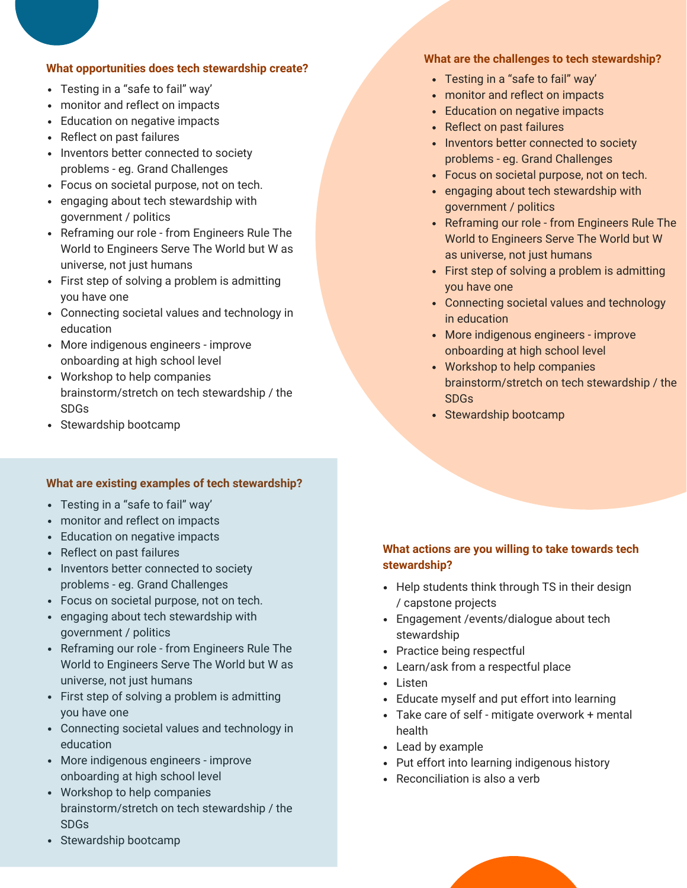#### **What opportunities does tech stewardship create?**

- Testing in a "safe to fail" way'
- monitor and reflect on impacts
- Education on negative impacts
- Reflect on past failures
- Inventors better connected to society problems - eg. Grand Challenges
- Focus on societal purpose, not on tech.
- engaging about tech stewardship with government / politics
- Reframing our role from Engineers Rule The World to Engineers Serve The World but W as universe, not just humans
- First step of solving a problem is admitting you have one
- Connecting societal values and technology in education
- More indigenous engineers improve onboarding at high school level
- Workshop to help companies brainstorm/stretch on tech stewardship / the SDGs
- Stewardship bootcamp

#### **What are existing examples of tech stewardship?**

- Testing in a "safe to fail" way'
- monitor and reflect on impacts
- Education on negative impacts
- Reflect on past failures
- Inventors better connected to society problems - eg. Grand Challenges
- Focus on societal purpose, not on tech.
- engaging about tech stewardship with government / politics
- Reframing our role from Engineers Rule The World to Engineers Serve The World but W as universe, not just humans
- First step of solving a problem is admitting you have one
- Connecting societal values and technology in education
- More indigenous engineers improve onboarding at high school level
- Workshop to help companies brainstorm/stretch on tech stewardship / the SDGs

#### • Stewardship bootcamp

#### **What are the challenges to tech stewardship?**

- Testing in a "safe to fail" way'
- monitor and reflect on impacts
- **Education on negative impacts**
- Reflect on past failures
- Inventors better connected to society problems - eg. Grand Challenges
- Focus on societal purpose, not on tech.
- engaging about tech stewardship with government / politics
- Reframing our role from Engineers Rule The World to Engineers Serve The World but W as universe, not just humans
- First step of solving a problem is admitting you have one
- Connecting societal values and technology in education
- More indigenous engineers improve onboarding at high school level
- Workshop to help companies brainstorm/stretch on tech stewardship / the SDGs
- Stewardship bootcamp

#### **What actions are you willing to take towards tech stewardship?**

- Help students think through TS in their design / capstone projects
- Engagement /events/dialogue about tech stewardship
- Practice being respectful
- Learn/ask from a respectful place
- Listen
- Educate myself and put effort into learning
- Take care of self mitigate overwork + mental health
- Lead by example
- Put effort into learning indigenous history
- Reconciliation is also a verb